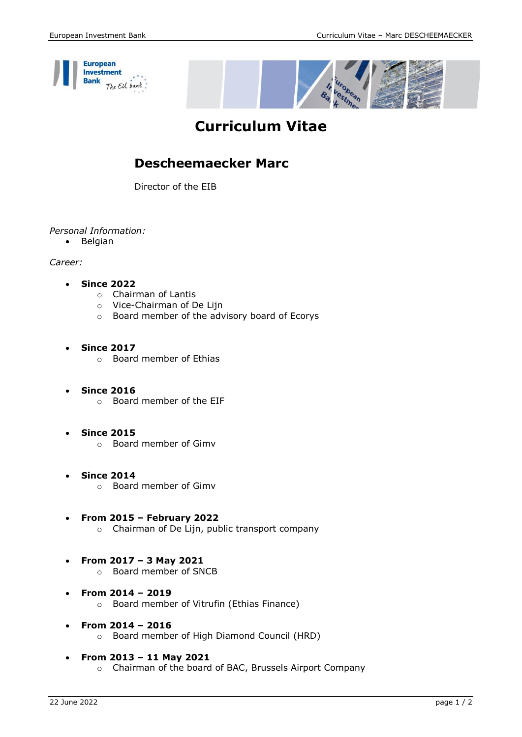



## **Curriculum Vitae**

## **Descheemaecker Marc**

Director of the EIB

*Personal Information:*

• Belgian

*Career:*

- **Since 2022**
	- o Chairman of Lantis
	- o Vice-Chairman of De Lijn
	- o Board member of the advisory board of Ecorys
- **Since 2017**
	- o Board member of Ethias
- **Since 2016** o Board member of the EIF
- **Since 2015** o Board member of Gimv
- **Since 2014** o Board member of Gimv
- **From 2015 – February 2022** o Chairman of De Lijn, public transport company
- **From 2017 – 3 May 2021**
	- o Board member of SNCB
- **From 2014 – 2019**
	- o Board member of Vitrufin (Ethias Finance)
- **From 2014 – 2016**
	- o Board member of High Diamond Council (HRD)
- **From 2013 – 11 May 2021**
	- o Chairman of the board of BAC, Brussels Airport Company